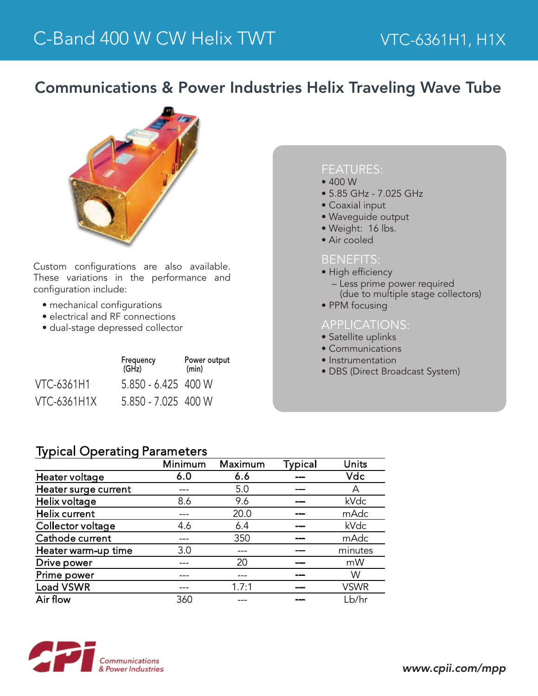## Communications & Power Industries Helix Traveling Wave Tube



Custom configurations are also available. These variations in the performance and configuration include:

- mechanical configurations
- electrical and RF connections
- dual-stage depressed collector

|                    | Frequency<br>(GHz)  | Power output<br>(min) |  |
|--------------------|---------------------|-----------------------|--|
| <b>VTC-6361H1</b>  | 5.850 - 6.425 400 W |                       |  |
| <b>VTC-6361H1X</b> | 5.850 - 7.025 400 W |                       |  |

### FEATURES:

- 400 W
- 5.85 GHz 7.025 GHz
- Coaxial input
- Waveguide output
- Weight: 16 lbs.
- Air cooled

#### BENEFITS:

- High efficiency
- Less prime power required (due to multiple stage collectors)
- PPM focusing

#### APPLICATIONS:

- Satellite uplinks
- Communications
- Instrumentation
- DBS (Direct Broadcast System)

| <b>Typical Operating Parameters</b> |  |
|-------------------------------------|--|
|-------------------------------------|--|

|                      | Minimum | Maximum | <b>Typical</b> | Units       |
|----------------------|---------|---------|----------------|-------------|
| Heater voltage       | 6.0     | 6.6     |                | <b>Vdc</b>  |
| Heater surge current |         | 5.0     |                | А           |
| Helix voltage        | 8.6     | 9.6     |                | kVdc        |
| <b>Helix current</b> |         | 20.0    |                | mAdc        |
| Collector voltage    | 4.6     | 6.4     |                | kVdc        |
| Cathode current      |         | 350     |                | mAdc        |
| Heater warm-up time  | 3.0     |         |                | minutes     |
| Drive power          |         | 20      |                | mW          |
| Prime power          |         |         |                | W           |
| <b>Load VSWR</b>     |         | 1.7:1   |                | <b>VSWR</b> |
| Air flow             | 360     |         |                | Lb/hr       |